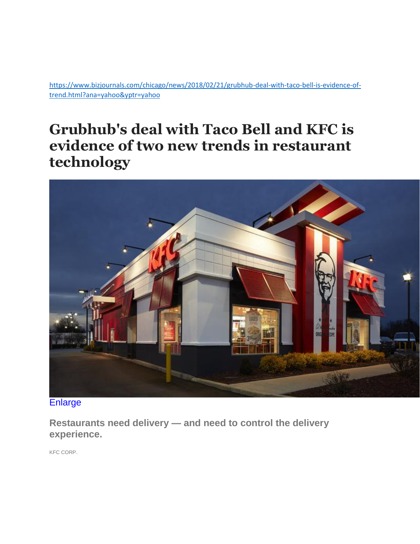[https://www.bizjournals.com/chicago/news/2018/02/21/grubhub-deal-with-taco-bell-is-evidence-of](https://www.bizjournals.com/chicago/news/2018/02/21/grubhub-deal-with-taco-bell-is-evidence-of-trend.html?ana=yahoo&yptr=yahoo)[trend.html?ana=yahoo&yptr=yahoo](https://www.bizjournals.com/chicago/news/2018/02/21/grubhub-deal-with-taco-bell-is-evidence-of-trend.html?ana=yahoo&yptr=yahoo)

## **Grubhub's deal with Taco Bell and KFC is evidence of two new trends in restaurant technology**



**[Enlarge](https://www.bizjournals.com/)** 

**Restaurants need delivery — and need to control the delivery experience.** 

KFC CORP.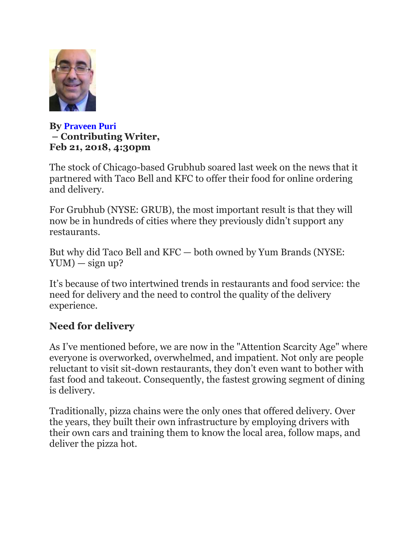

**By [Praveen Puri](https://www.bizjournals.com/bizjournals/bio/37222/Praveen+Puri) – Contributing Writer, Feb 21, 2018, 4:30pm** 

The stock of Chicago-based Grubhub soared last week on the news that it partnered with Taco Bell and KFC to offer their food for online ordering and delivery.

For Grubhub (NYSE: GRUB), the most important result is that they will now be in hundreds of cities where they previously didn't support any restaurants.

But why did Taco Bell and KFC — both owned by Yum Brands (NYSE:  $YUM$ ) — sign up?

It's because of two intertwined trends in restaurants and food service: the need for delivery and the need to control the quality of the delivery experience.

## **Need for delivery**

As I've mentioned before, we are now in the "Attention Scarcity Age" where everyone is overworked, overwhelmed, and impatient. Not only are people reluctant to visit sit-down restaurants, they don't even want to bother with fast food and takeout. Consequently, the fastest growing segment of dining is delivery.

Traditionally, pizza chains were the only ones that offered delivery. Over the years, they built their own infrastructure by employing drivers with their own cars and training them to know the local area, follow maps, and deliver the pizza hot.